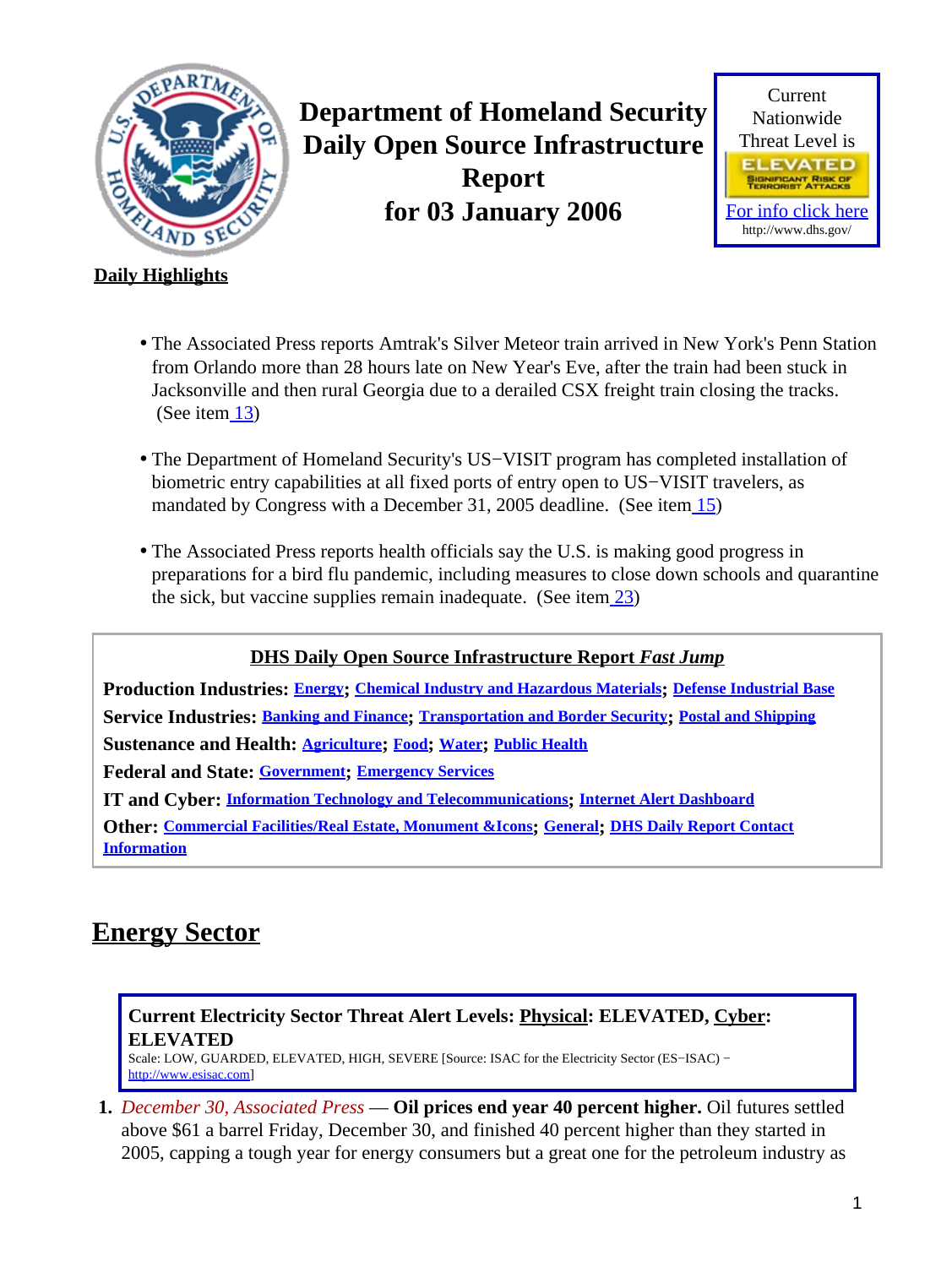<span id="page-0-1"></span>

**Department of Homeland Security Daily Open Source Infrastructure Report for 03 January 2006**



### **Daily Highlights**

- The Associated Press reports Amtrak's Silver Meteor train arrived in New York's Penn Station from Orlando more than 28 hours late on New Year's Eve, after the train had been stuck in Jacksonville and then rural Georgia due to a derailed CSX freight train closing the tracks. (See item  $13$ )
- The Department of Homeland Security's US−VISIT program has completed installation of biometric entry capabilities at all fixed ports of entry open to US−VISIT travelers, as mandated by Congress with a December 31, 2005 deadline. (See ite[m 15](#page-5-0))
- The Associated Press reports health officials say the U.S. is making good progress in preparations for a bird flu pandemic, including measures to close down schools and quarantine the sick, but vaccine supplies remain inadequate. (See item  $\frac{23}{2}$ )

**DHS Daily Open Source Infrastructure Report** *Fast Jump* **Production Industries: [Energy](#page-0-0); [Chemical Industry and Hazardous Materials](#page-1-0); [Defense Industrial Base](#page-3-0) Service Industries: [Banking and Finance](#page-3-1); [Transportation and Border Security](#page-4-1); [Postal and Shipping](#page-6-0) Sustenance and Health: [Agriculture](#page-6-1); [Food](#page-7-0); [Water](#page-8-1); [Public Health](#page-8-2) Federal and State: [Government](#page-10-0); [Emergency Services](#page-10-1) IT and Cyber: [Information Technology and Telecommunications](#page-11-0); [Internet Alert Dashboard](#page-12-0) Other: [Commercial Facilities/Real Estate, Monument &Icons](#page-13-0); [General](#page-14-0); [DHS Daily Report Contact](#page-14-1) [Information](#page-14-1)**

# <span id="page-0-0"></span>**Energy Sector**

### **Current Electricity Sector Threat Alert Levels: Physical: ELEVATED, Cyber: ELEVATED**

Scale: LOW, GUARDED, ELEVATED, HIGH, SEVERE [Source: ISAC for the Electricity Sector (ES−ISAC) − [http://www.esisac.com](http://esisac.com)]

**1.** *December 30, Associated Press* — **Oil prices end year 40 percent higher.** Oil futures settled above \$61 a barrel Friday, December 30, and finished 40 percent higher than they started in 2005, capping a tough year for energy consumers but a great one for the petroleum industry as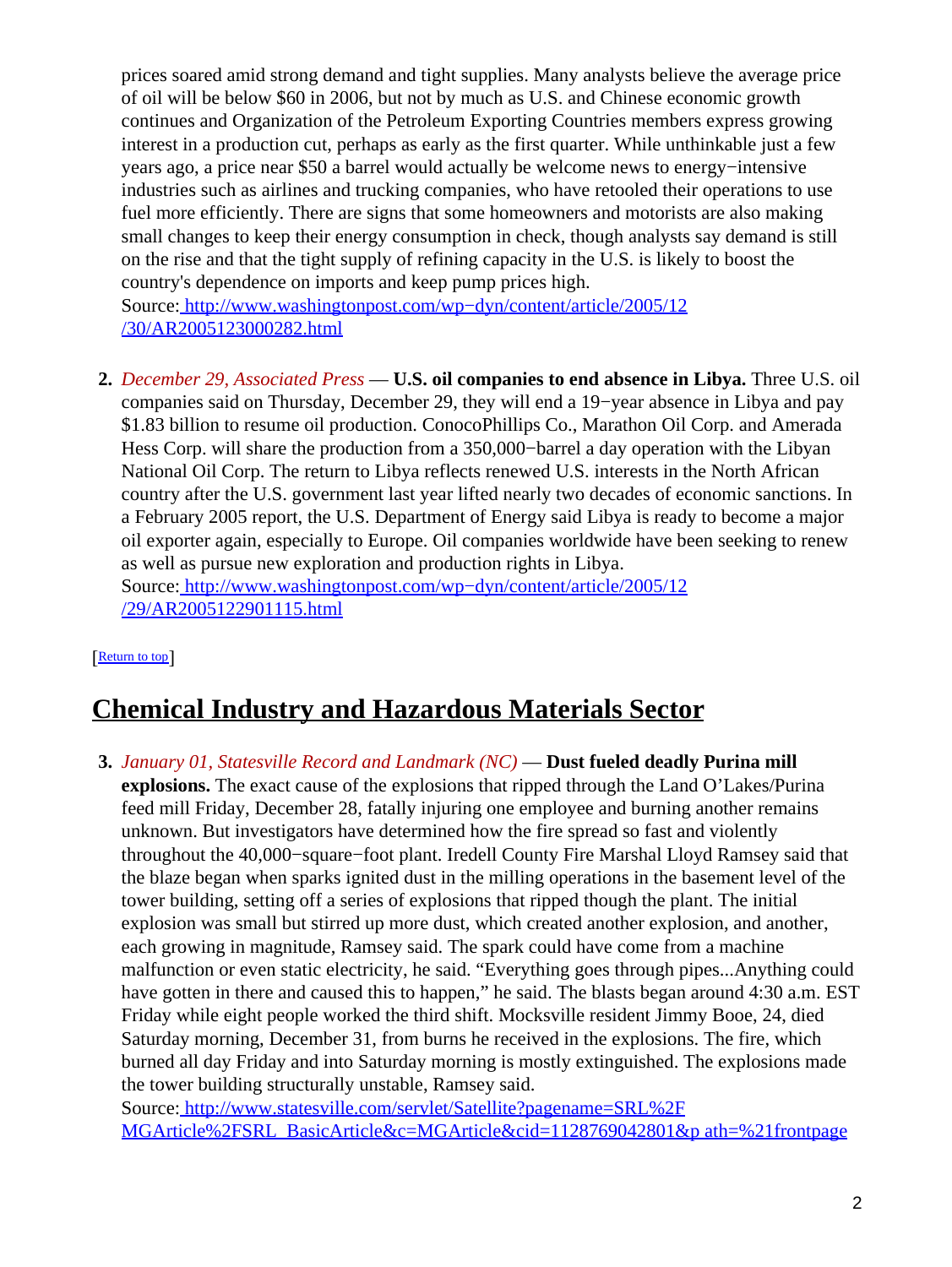prices soared amid strong demand and tight supplies. Many analysts believe the average price of oil will be below \$60 in 2006, but not by much as U.S. and Chinese economic growth continues and Organization of the Petroleum Exporting Countries members express growing interest in a production cut, perhaps as early as the first quarter. While unthinkable just a few years ago, a price near \$50 a barrel would actually be welcome news to energy−intensive industries such as airlines and trucking companies, who have retooled their operations to use fuel more efficiently. There are signs that some homeowners and motorists are also making small changes to keep their energy consumption in check, though analysts say demand is still on the rise and that the tight supply of refining capacity in the U.S. is likely to boost the country's dependence on imports and keep pump prices high.

Source[: http://www.washingtonpost.com/wp−dyn/content/article/2005/12](http://www.washingtonpost.com/wp-dyn/content/article/2005/12/30/AR2005123000282.html) [/30/AR2005123000282.html](http://www.washingtonpost.com/wp-dyn/content/article/2005/12/30/AR2005123000282.html)

**2.** *December 29, Associated Press* — **U.S. oil companies to end absence in Libya.** Three U.S. oil companies said on Thursday, December 29, they will end a 19−year absence in Libya and pay \$1.83 billion to resume oil production. ConocoPhillips Co., Marathon Oil Corp. and Amerada Hess Corp. will share the production from a 350,000−barrel a day operation with the Libyan National Oil Corp. The return to Libya reflects renewed U.S. interests in the North African country after the U.S. government last year lifted nearly two decades of economic sanctions. In a February 2005 report, the U.S. Department of Energy said Libya is ready to become a major oil exporter again, especially to Europe. Oil companies worldwide have been seeking to renew as well as pursue new exploration and production rights in Libya. Source[: http://www.washingtonpost.com/wp−dyn/content/article/2005/12](http://www.washingtonpost.com/wp-dyn/content/article/2005/12/29/AR2005122901115.html) [/29/AR2005122901115.html](http://www.washingtonpost.com/wp-dyn/content/article/2005/12/29/AR2005122901115.html)

[[Return to top](#page-0-1)]

# <span id="page-1-0"></span>**Chemical Industry and Hazardous Materials Sector**

**3.** *January 01, Statesville Record and Landmark (NC)* — **Dust fueled deadly Purina mill explosions.** The exact cause of the explosions that ripped through the Land O'Lakes/Purina feed mill Friday, December 28, fatally injuring one employee and burning another remains unknown. But investigators have determined how the fire spread so fast and violently throughout the 40,000−square−foot plant. Iredell County Fire Marshal Lloyd Ramsey said that the blaze began when sparks ignited dust in the milling operations in the basement level of the tower building, setting off a series of explosions that ripped though the plant. The initial explosion was small but stirred up more dust, which created another explosion, and another, each growing in magnitude, Ramsey said. The spark could have come from a machine malfunction or even static electricity, he said. "Everything goes through pipes...Anything could have gotten in there and caused this to happen," he said. The blasts began around 4:30 a.m. EST Friday while eight people worked the third shift. Mocksville resident Jimmy Booe, 24, died Saturday morning, December 31, from burns he received in the explosions. The fire, which burned all day Friday and into Saturday morning is mostly extinguished. The explosions made the tower building structurally unstable, Ramsey said.

Source[: http://www.statesville.com/servlet/Satellite?pagename=SRL%2F](http://www.statesville.com/servlet/Satellite?pagename=SRL%2FMGArticle%2FSRL_BasicArticle&c=MGArticle&cid=1128769042801&path=%21frontpage) [MGArticle%2FSRL\\_BasicArticle&c=MGArticle&cid=1128769042801&p ath=%21frontpage](http://www.statesville.com/servlet/Satellite?pagename=SRL%2FMGArticle%2FSRL_BasicArticle&c=MGArticle&cid=1128769042801&path=%21frontpage)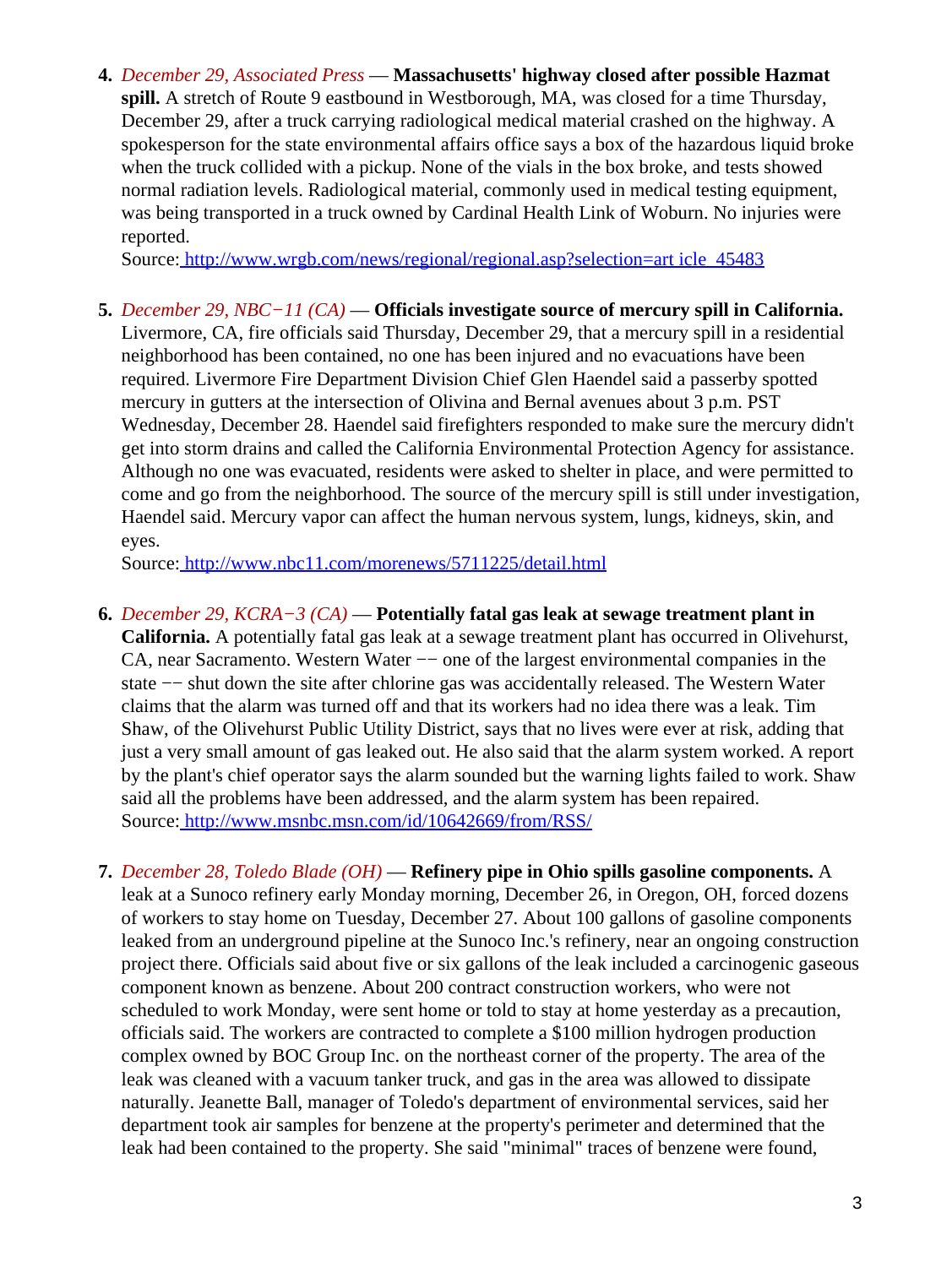**4.** *December 29, Associated Press* — **Massachusetts' highway closed after possible Hazmat spill.** A stretch of Route 9 eastbound in Westborough, MA, was closed for a time Thursday, December 29, after a truck carrying radiological medical material crashed on the highway. A spokesperson for the state environmental affairs office says a box of the hazardous liquid broke when the truck collided with a pickup. None of the vials in the box broke, and tests showed normal radiation levels. Radiological material, commonly used in medical testing equipment, was being transported in a truck owned by Cardinal Health Link of Woburn. No injuries were reported.

Source[: http://www.wrgb.com/news/regional/regional.asp?selection=art icle\\_45483](http://www.wrgb.com/news/regional/regional.asp?selection=article_45483)

**5.** *December 29, NBC−11 (CA)* — **Officials investigate source of mercury spill in California.** Livermore, CA, fire officials said Thursday, December 29, that a mercury spill in a residential neighborhood has been contained, no one has been injured and no evacuations have been required. Livermore Fire Department Division Chief Glen Haendel said a passerby spotted mercury in gutters at the intersection of Olivina and Bernal avenues about 3 p.m. PST Wednesday, December 28. Haendel said firefighters responded to make sure the mercury didn't get into storm drains and called the California Environmental Protection Agency for assistance. Although no one was evacuated, residents were asked to shelter in place, and were permitted to come and go from the neighborhood. The source of the mercury spill is still under investigation, Haendel said. Mercury vapor can affect the human nervous system, lungs, kidneys, skin, and eyes.

Source[: http://www.nbc11.com/morenews/5711225/detail.html](http://www.nbc11.com/morenews/5711225/detail.html)

**6.** *December 29, KCRA−3 (CA)* — **Potentially fatal gas leak at sewage treatment plant in**

**California.** A potentially fatal gas leak at a sewage treatment plant has occurred in Olivehurst, CA, near Sacramento. Western Water −− one of the largest environmental companies in the state −− shut down the site after chlorine gas was accidentally released. The Western Water claims that the alarm was turned off and that its workers had no idea there was a leak. Tim Shaw, of the Olivehurst Public Utility District, says that no lives were ever at risk, adding that just a very small amount of gas leaked out. He also said that the alarm system worked. A report by the plant's chief operator says the alarm sounded but the warning lights failed to work. Shaw said all the problems have been addressed, and the alarm system has been repaired. Source[: http://www.msnbc.msn.com/id/10642669/from/RSS/](http://www.msnbc.msn.com/id/10642669/from/RSS/)

**7.** *December 28, Toledo Blade (OH)* — **Refinery pipe in Ohio spills gasoline components.** A leak at a Sunoco refinery early Monday morning, December 26, in Oregon, OH, forced dozens of workers to stay home on Tuesday, December 27. About 100 gallons of gasoline components leaked from an underground pipeline at the Sunoco Inc.'s refinery, near an ongoing construction project there. Officials said about five or six gallons of the leak included a carcinogenic gaseous component known as benzene. About 200 contract construction workers, who were not scheduled to work Monday, were sent home or told to stay at home yesterday as a precaution, officials said. The workers are contracted to complete a \$100 million hydrogen production complex owned by BOC Group Inc. on the northeast corner of the property. The area of the leak was cleaned with a vacuum tanker truck, and gas in the area was allowed to dissipate naturally. Jeanette Ball, manager of Toledo's department of environmental services, said her department took air samples for benzene at the property's perimeter and determined that the leak had been contained to the property. She said "minimal" traces of benzene were found,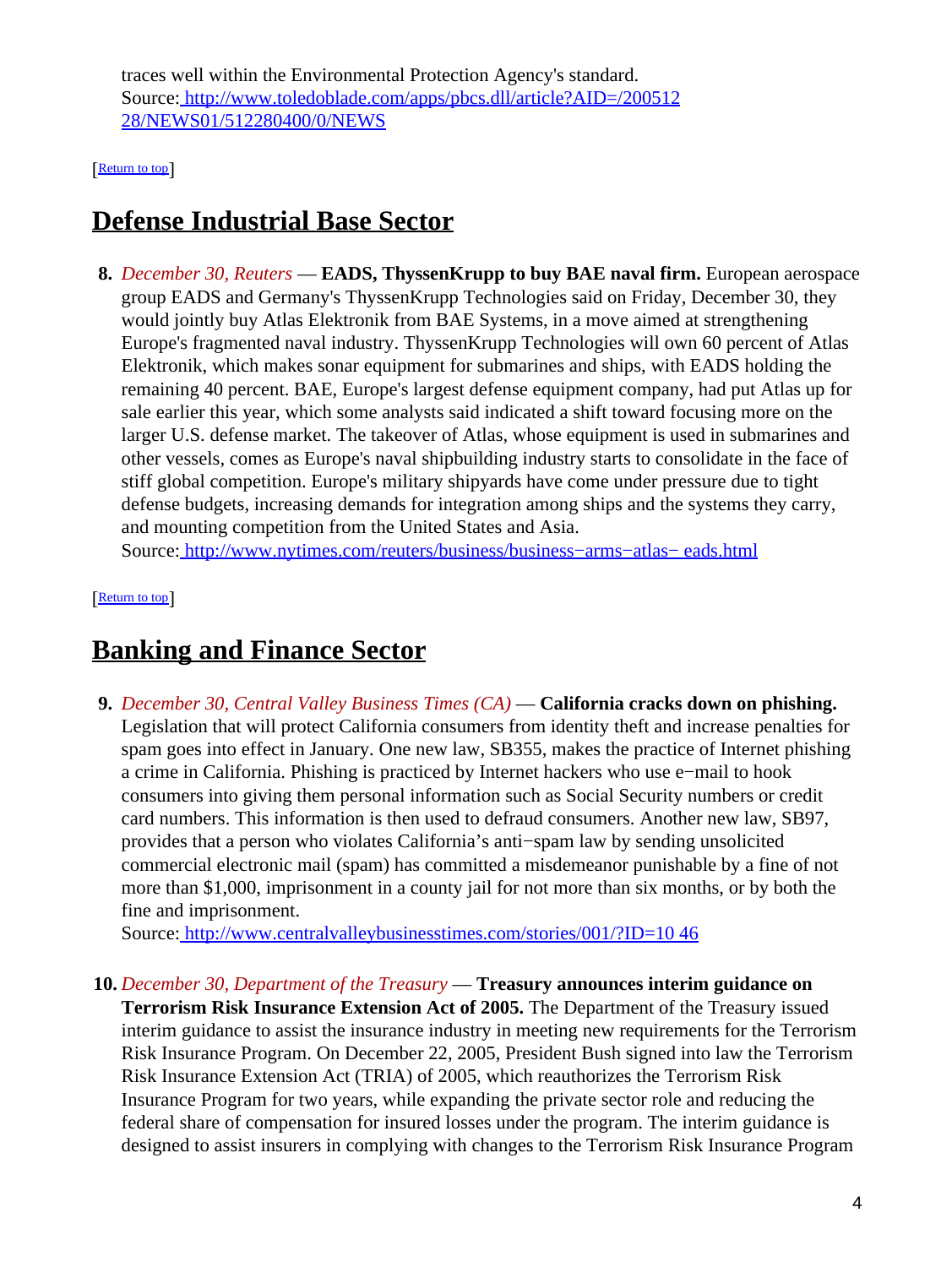traces well within the Environmental Protection Agency's standard. Source[: http://www.toledoblade.com/apps/pbcs.dll/article?AID=/200512](http://www.toledoblade.com/apps/pbcs.dll/article?AID=/20051228/NEWS01/512280400/0/NEWS) [28/NEWS01/512280400/0/NEWS](http://www.toledoblade.com/apps/pbcs.dll/article?AID=/20051228/NEWS01/512280400/0/NEWS)

[[Return to top](#page-0-1)]

## <span id="page-3-0"></span>**Defense Industrial Base Sector**

**8.** *December 30, Reuters* — **EADS, ThyssenKrupp to buy BAE naval firm.** European aerospace group EADS and Germany's ThyssenKrupp Technologies said on Friday, December 30, they would jointly buy Atlas Elektronik from BAE Systems, in a move aimed at strengthening Europe's fragmented naval industry. ThyssenKrupp Technologies will own 60 percent of Atlas Elektronik, which makes sonar equipment for submarines and ships, with EADS holding the remaining 40 percent. BAE, Europe's largest defense equipment company, had put Atlas up for sale earlier this year, which some analysts said indicated a shift toward focusing more on the larger U.S. defense market. The takeover of Atlas, whose equipment is used in submarines and other vessels, comes as Europe's naval shipbuilding industry starts to consolidate in the face of stiff global competition. Europe's military shipyards have come under pressure due to tight defense budgets, increasing demands for integration among ships and the systems they carry, and mounting competition from the United States and Asia.

Source[: http://www.nytimes.com/reuters/business/business−arms−atlas− eads.html](http://www.nytimes.com/reuters/business/business-arms-atlas-eads.html)

[[Return to top](#page-0-1)]

## <span id="page-3-1"></span>**Banking and Finance Sector**

**9.** *December 30, Central Valley Business Times (CA)* — **California cracks down on phishing.** Legislation that will protect California consumers from identity theft and increase penalties for spam goes into effect in January. One new law, SB355, makes the practice of Internet phishing a crime in California. Phishing is practiced by Internet hackers who use e−mail to hook consumers into giving them personal information such as Social Security numbers or credit card numbers. This information is then used to defraud consumers. Another new law, SB97, provides that a person who violates California's anti−spam law by sending unsolicited commercial electronic mail (spam) has committed a misdemeanor punishable by a fine of not more than \$1,000, imprisonment in a county jail for not more than six months, or by both the fine and imprisonment.

Source[: http://www.centralvalleybusinesstimes.com/stories/001/?ID=10 46](http://www.centralvalleybusinesstimes.com/stories/001/?ID=1046)

**10.** *December 30, Department of the Treasury* — **Treasury announces interim guidance on**

**Terrorism Risk Insurance Extension Act of 2005.** The Department of the Treasury issued interim guidance to assist the insurance industry in meeting new requirements for the Terrorism Risk Insurance Program. On December 22, 2005, President Bush signed into law the Terrorism Risk Insurance Extension Act (TRIA) of 2005, which reauthorizes the Terrorism Risk Insurance Program for two years, while expanding the private sector role and reducing the federal share of compensation for insured losses under the program. The interim guidance is designed to assist insurers in complying with changes to the Terrorism Risk Insurance Program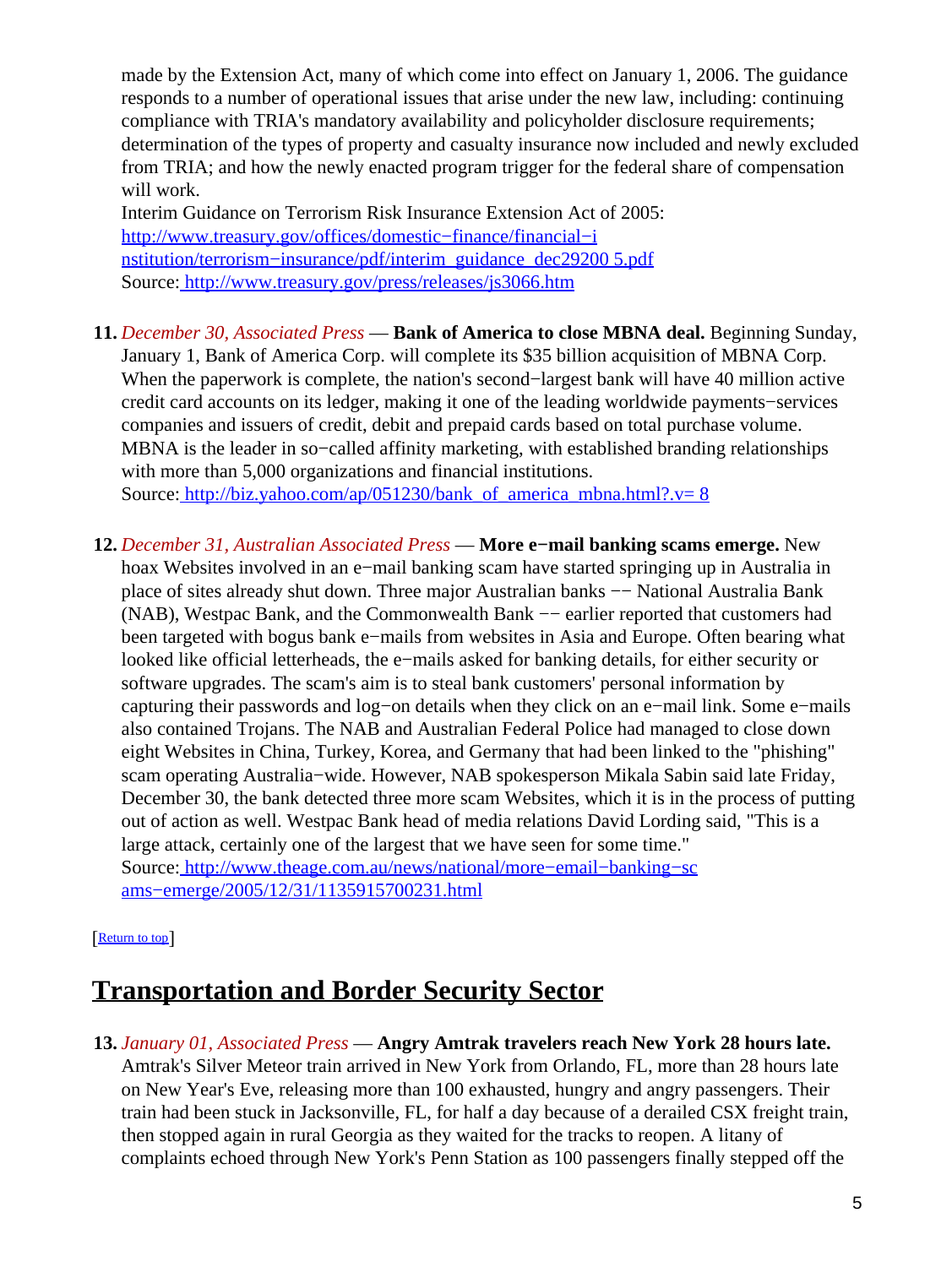made by the Extension Act, many of which come into effect on January 1, 2006. The guidance responds to a number of operational issues that arise under the new law, including: continuing compliance with TRIA's mandatory availability and policyholder disclosure requirements; determination of the types of property and casualty insurance now included and newly excluded from TRIA; and how the newly enacted program trigger for the federal share of compensation will work.

Interim Guidance on Terrorism Risk Insurance Extension Act of 2005: [http://www.treasury.gov/offices/domestic−finance/financial−i](http://www.treasury.gov/offices/domestic-finance/financial-institution/terrorism-insurance/pdf/interim_guidance_dec292005.pdf) [nstitution/terrorism−insurance/pdf/interim\\_guidance\\_dec29200 5.pdf](http://www.treasury.gov/offices/domestic-finance/financial-institution/terrorism-insurance/pdf/interim_guidance_dec292005.pdf) Source[: http://www.treasury.gov/press/releases/js3066.htm](http://www.treasury.gov/press/releases/js3066.htm)

- **11.** *December 30, Associated Press* — **Bank of America to close MBNA deal.** Beginning Sunday, January 1, Bank of America Corp. will complete its \$35 billion acquisition of MBNA Corp. When the paperwork is complete, the nation's second−largest bank will have 40 million active credit card accounts on its ledger, making it one of the leading worldwide payments−services companies and issuers of credit, debit and prepaid cards based on total purchase volume. MBNA is the leader in so–called affinity marketing, with established branding relationships with more than 5,000 organizations and financial institutions. Source[: http://biz.yahoo.com/ap/051230/bank\\_of\\_america\\_mbna.html?.v= 8](http://biz.yahoo.com/ap/051230/bank_of_america_mbna.html?.v=8)
- **12.** *December 31, Australian Associated Press* — **More e−mail banking scams emerge.** New hoax Websites involved in an e−mail banking scam have started springing up in Australia in place of sites already shut down. Three major Australian banks −− National Australia Bank (NAB), Westpac Bank, and the Commonwealth Bank −− earlier reported that customers had been targeted with bogus bank e−mails from websites in Asia and Europe. Often bearing what looked like official letterheads, the e−mails asked for banking details, for either security or software upgrades. The scam's aim is to steal bank customers' personal information by capturing their passwords and log−on details when they click on an e−mail link. Some e−mails also contained Trojans. The NAB and Australian Federal Police had managed to close down eight Websites in China, Turkey, Korea, and Germany that had been linked to the "phishing" scam operating Australia−wide. However, NAB spokesperson Mikala Sabin said late Friday, December 30, the bank detected three more scam Websites, which it is in the process of putting out of action as well. Westpac Bank head of media relations David Lording said, "This is a large attack, certainly one of the largest that we have seen for some time." Source[: http://www.theage.com.au/news/national/more−email−banking−sc](http://www.theage.com.au/news/national/more-email-banking-scams-emerge/2005/12/31/1135915700231.html) [ams−emerge/2005/12/31/1135915700231.html](http://www.theage.com.au/news/national/more-email-banking-scams-emerge/2005/12/31/1135915700231.html)

#### [[Return to top](#page-0-1)]

## <span id="page-4-1"></span>**Transportation and Border Security Sector**

<span id="page-4-0"></span>**13.** *January 01, Associated Press* — **Angry Amtrak travelers reach New York 28 hours late.** Amtrak's Silver Meteor train arrived in New York from Orlando, FL, more than 28 hours late on New Year's Eve, releasing more than 100 exhausted, hungry and angry passengers. Their train had been stuck in Jacksonville, FL, for half a day because of a derailed CSX freight train, then stopped again in rural Georgia as they waited for the tracks to reopen. A litany of complaints echoed through New York's Penn Station as 100 passengers finally stepped off the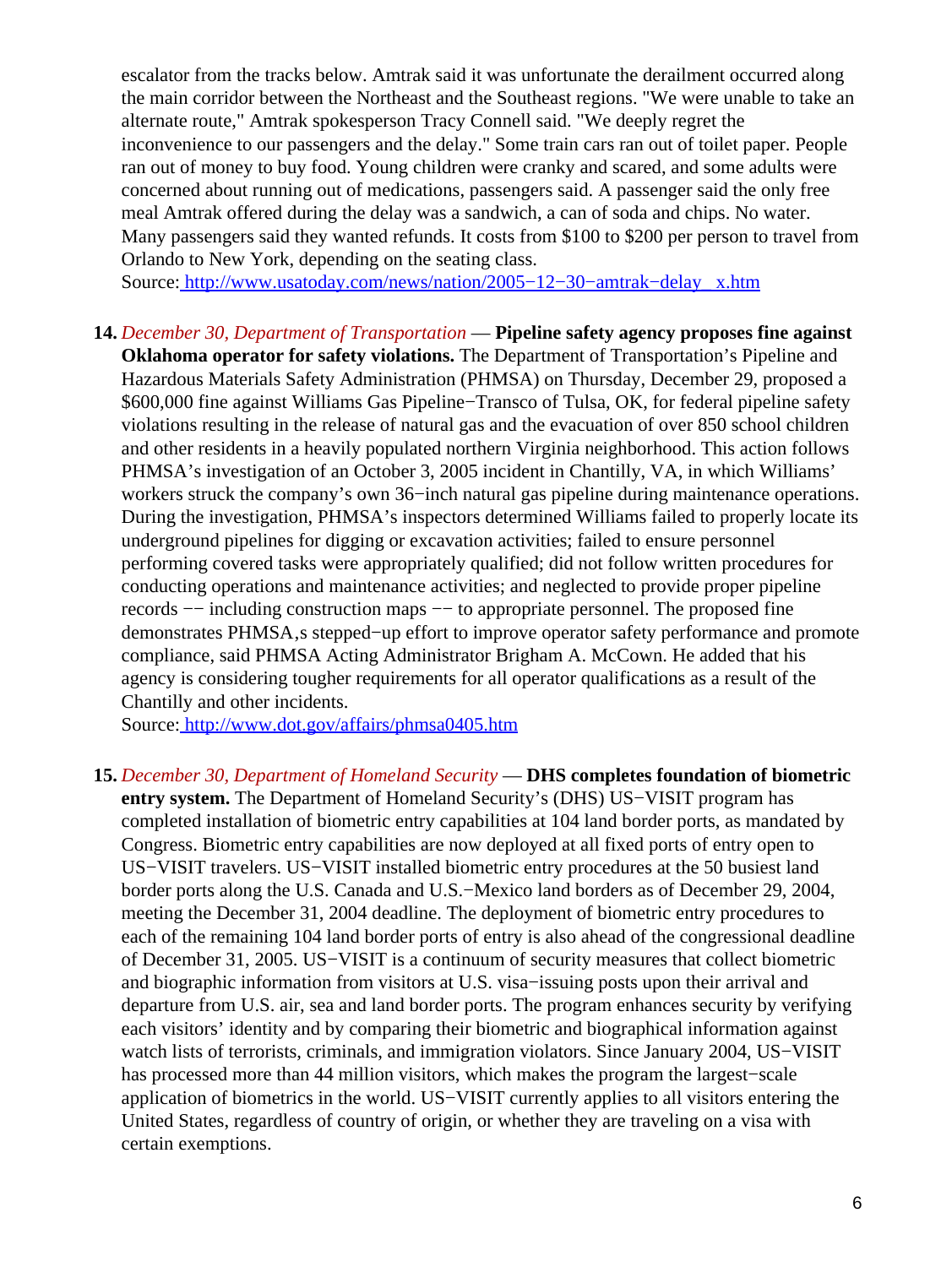escalator from the tracks below. Amtrak said it was unfortunate the derailment occurred along the main corridor between the Northeast and the Southeast regions. "We were unable to take an alternate route," Amtrak spokesperson Tracy Connell said. "We deeply regret the inconvenience to our passengers and the delay." Some train cars ran out of toilet paper. People ran out of money to buy food. Young children were cranky and scared, and some adults were concerned about running out of medications, passengers said. A passenger said the only free meal Amtrak offered during the delay was a sandwich, a can of soda and chips. No water. Many passengers said they wanted refunds. It costs from \$100 to \$200 per person to travel from Orlando to New York, depending on the seating class.

Source[: http://www.usatoday.com/news/nation/2005−12−30−amtrak−delay\\_ x.htm](http://www.usatoday.com/news/nation/2005-12-30-amtrak-delay_x.htm)

**14.** *December 30, Department of Transportation* — **Pipeline safety agency proposes fine against Oklahoma operator for safety violations.** The Department of Transportation's Pipeline and Hazardous Materials Safety Administration (PHMSA) on Thursday, December 29, proposed a \$600,000 fine against Williams Gas Pipeline−Transco of Tulsa, OK, for federal pipeline safety violations resulting in the release of natural gas and the evacuation of over 850 school children and other residents in a heavily populated northern Virginia neighborhood. This action follows PHMSA's investigation of an October 3, 2005 incident in Chantilly, VA, in which Williams' workers struck the company's own 36−inch natural gas pipeline during maintenance operations. During the investigation, PHMSA's inspectors determined Williams failed to properly locate its underground pipelines for digging or excavation activities; failed to ensure personnel performing covered tasks were appropriately qualified; did not follow written procedures for conducting operations and maintenance activities; and neglected to provide proper pipeline records −− including construction maps −− to appropriate personnel. The proposed fine demonstrates PHMSA, a stepped–up effort to improve operator safety performance and promote compliance, said PHMSA Acting Administrator Brigham A. McCown. He added that his agency is considering tougher requirements for all operator qualifications as a result of the Chantilly and other incidents.

Source[: http://www.dot.gov/affairs/phmsa0405.htm](http://www.dot.gov/affairs/phmsa0405.htm)

<span id="page-5-0"></span>**15.** *December 30, Department of Homeland Security* — **DHS completes foundation of biometric entry system.** The Department of Homeland Security's (DHS) US−VISIT program has completed installation of biometric entry capabilities at 104 land border ports, as mandated by Congress. Biometric entry capabilities are now deployed at all fixed ports of entry open to US−VISIT travelers. US−VISIT installed biometric entry procedures at the 50 busiest land border ports along the U.S. Canada and U.S.−Mexico land borders as of December 29, 2004, meeting the December 31, 2004 deadline. The deployment of biometric entry procedures to each of the remaining 104 land border ports of entry is also ahead of the congressional deadline of December 31, 2005. US−VISIT is a continuum of security measures that collect biometric and biographic information from visitors at U.S. visa−issuing posts upon their arrival and departure from U.S. air, sea and land border ports. The program enhances security by verifying each visitors' identity and by comparing their biometric and biographical information against watch lists of terrorists, criminals, and immigration violators. Since January 2004, US−VISIT has processed more than 44 million visitors, which makes the program the largest−scale application of biometrics in the world. US−VISIT currently applies to all visitors entering the United States, regardless of country of origin, or whether they are traveling on a visa with certain exemptions.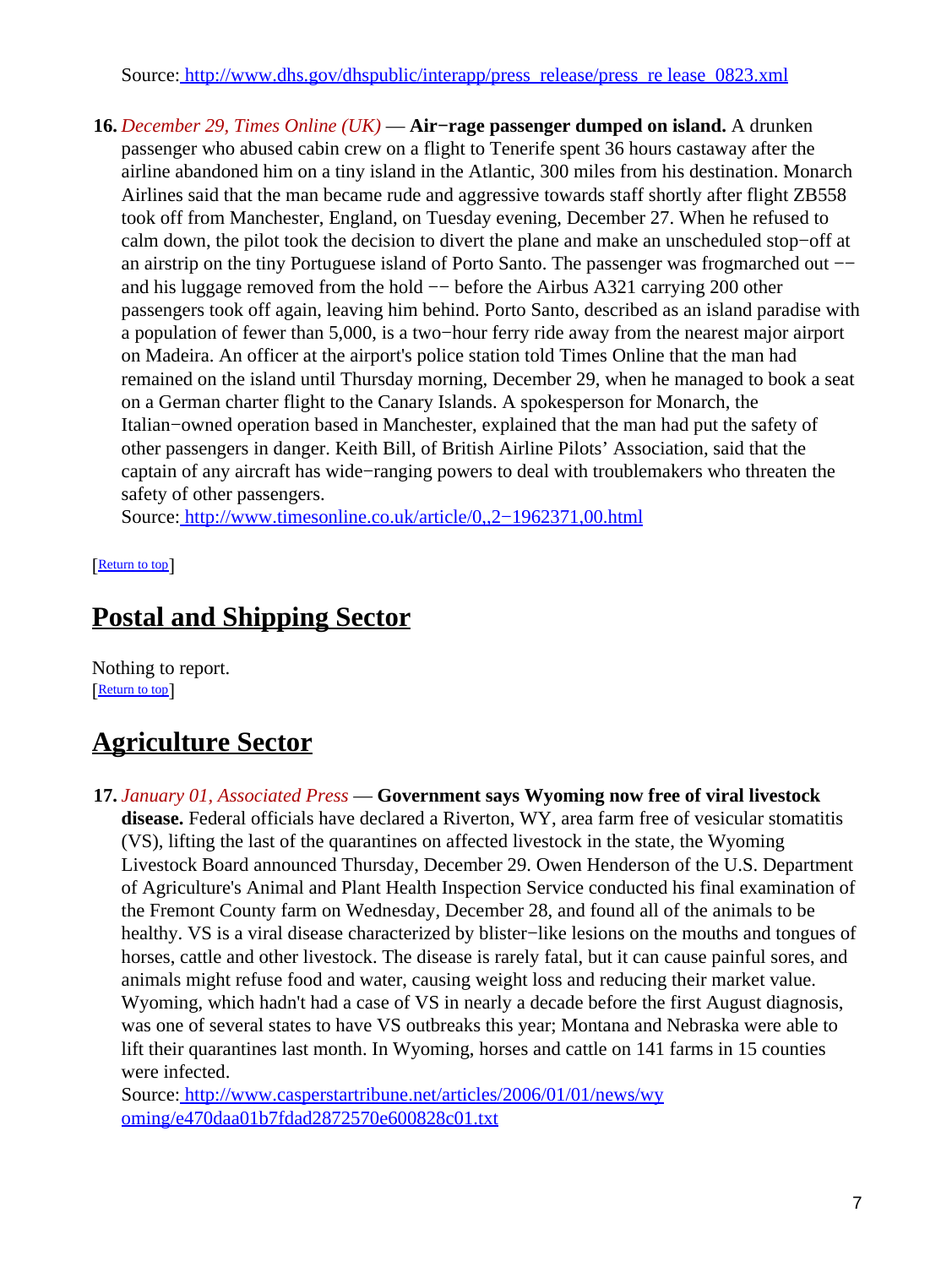Source[: http://www.dhs.gov/dhspublic/interapp/press\\_release/press\\_re lease\\_0823.xml](http://www.dhs.gov/dhspublic/interapp/press_release/press_release_0823.xml)

**16.** *December 29, Times Online (UK)* — **Air−rage passenger dumped on island.** A drunken passenger who abused cabin crew on a flight to Tenerife spent 36 hours castaway after the airline abandoned him on a tiny island in the Atlantic, 300 miles from his destination. Monarch Airlines said that the man became rude and aggressive towards staff shortly after flight ZB558 took off from Manchester, England, on Tuesday evening, December 27. When he refused to calm down, the pilot took the decision to divert the plane and make an unscheduled stop−off at an airstrip on the tiny Portuguese island of Porto Santo. The passenger was frogmarched out −− and his luggage removed from the hold −− before the Airbus A321 carrying 200 other passengers took off again, leaving him behind. Porto Santo, described as an island paradise with a population of fewer than 5,000, is a two−hour ferry ride away from the nearest major airport on Madeira. An officer at the airport's police station told Times Online that the man had remained on the island until Thursday morning, December 29, when he managed to book a seat on a German charter flight to the Canary Islands. A spokesperson for Monarch, the Italian−owned operation based in Manchester, explained that the man had put the safety of other passengers in danger. Keith Bill, of British Airline Pilots' Association, said that the captain of any aircraft has wide−ranging powers to deal with troublemakers who threaten the safety of other passengers.

Source[: http://www.timesonline.co.uk/article/0,,2−1962371,00.html](http://www.timesonline.co.uk/article/0,,2-1962371,00.html)

[[Return to top](#page-0-1)]

# <span id="page-6-0"></span>**Postal and Shipping Sector**

Nothing to report. **[Return to top](#page-0-1)** 

# <span id="page-6-1"></span>**Agriculture Sector**

**17.** *January 01, Associated Press* — **Government says Wyoming now free of viral livestock disease.** Federal officials have declared a Riverton, WY, area farm free of vesicular stomatitis (VS), lifting the last of the quarantines on affected livestock in the state, the Wyoming Livestock Board announced Thursday, December 29. Owen Henderson of the U.S. Department of Agriculture's Animal and Plant Health Inspection Service conducted his final examination of the Fremont County farm on Wednesday, December 28, and found all of the animals to be healthy. VS is a viral disease characterized by blister−like lesions on the mouths and tongues of horses, cattle and other livestock. The disease is rarely fatal, but it can cause painful sores, and animals might refuse food and water, causing weight loss and reducing their market value. Wyoming, which hadn't had a case of VS in nearly a decade before the first August diagnosis, was one of several states to have VS outbreaks this year; Montana and Nebraska were able to lift their quarantines last month. In Wyoming, horses and cattle on 141 farms in 15 counties were infected.

Source[: http://www.casperstartribune.net/articles/2006/01/01/news/wy](http://www.casperstartribune.net/articles/2006/01/01/news/wyoming/e470daa01b7fdad2872570e600828c01.txt) [oming/e470daa01b7fdad2872570e600828c01.txt](http://www.casperstartribune.net/articles/2006/01/01/news/wyoming/e470daa01b7fdad2872570e600828c01.txt)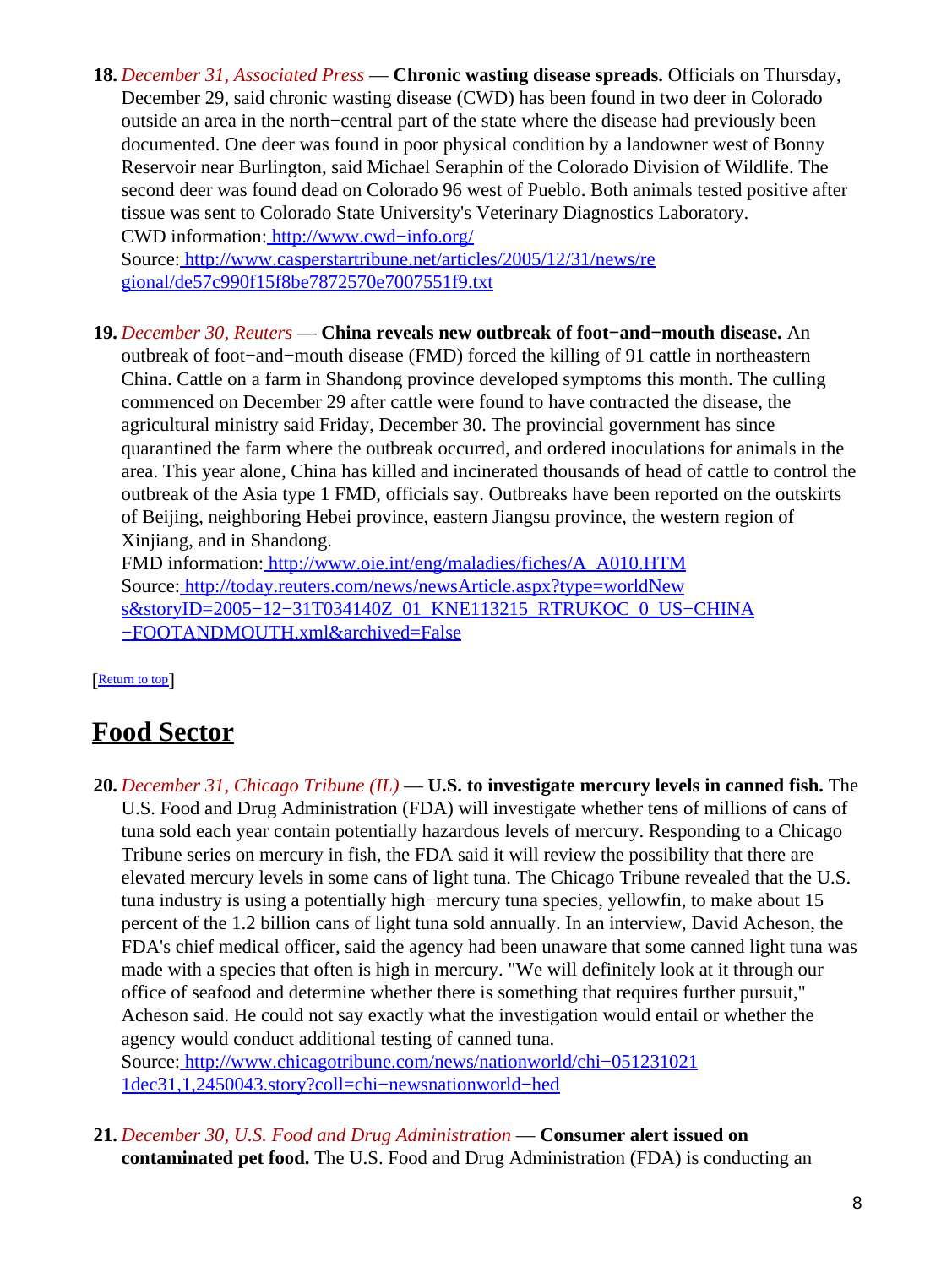**18.** *December 31, Associated Press* — **Chronic wasting disease spreads.** Officials on Thursday, December 29, said chronic wasting disease (CWD) has been found in two deer in Colorado outside an area in the north−central part of the state where the disease had previously been documented. One deer was found in poor physical condition by a landowner west of Bonny Reservoir near Burlington, said Michael Seraphin of the Colorado Division of Wildlife. The second deer was found dead on Colorado 96 west of Pueblo. Both animals tested positive after tissue was sent to Colorado State University's Veterinary Diagnostics Laboratory. CWD information: [http://www.cwd−info.org/](http://www.cwd-info.org/)

Source[: http://www.casperstartribune.net/articles/2005/12/31/news/re](http://www.casperstartribune.net/articles/2005/12/31/news/regional/de57c990f15f8be7872570e7007551f9.txt) [gional/de57c990f15f8be7872570e7007551f9.txt](http://www.casperstartribune.net/articles/2005/12/31/news/regional/de57c990f15f8be7872570e7007551f9.txt)

**19.** *December 30, Reuters* — **China reveals new outbreak of foot−and−mouth disease.** An outbreak of foot−and−mouth disease (FMD) forced the killing of 91 cattle in northeastern China. Cattle on a farm in Shandong province developed symptoms this month. The culling commenced on December 29 after cattle were found to have contracted the disease, the agricultural ministry said Friday, December 30. The provincial government has since quarantined the farm where the outbreak occurred, and ordered inoculations for animals in the area. This year alone, China has killed and incinerated thousands of head of cattle to control the outbreak of the Asia type 1 FMD, officials say. Outbreaks have been reported on the outskirts of Beijing, neighboring Hebei province, eastern Jiangsu province, the western region of Xinjiang, and in Shandong.

FMD information: [http://www.oie.int/eng/maladies/fiches/A\\_A010.HTM](http://www.oie.int/eng/maladies/fiches/A_A010.HTM) Source[: http://today.reuters.com/news/newsArticle.aspx?type=worldNew](http://today.reuters.com/news/newsArticle.aspx?type=worldNews&storyID=2005-12-31T034140Z_01_KNE113215_RTRUKOC_0_US-CHINA-FOOTANDMOUTH.xml&archived=False) s&storyID=2005-12-31T034140Z\_01\_KNE113215\_RTRUKOC\_0\_US-CHINA [−FOOTANDMOUTH.xml&archived=False](http://today.reuters.com/news/newsArticle.aspx?type=worldNews&storyID=2005-12-31T034140Z_01_KNE113215_RTRUKOC_0_US-CHINA-FOOTANDMOUTH.xml&archived=False)

### [[Return to top](#page-0-1)]

## <span id="page-7-0"></span>**Food Sector**

- **20.** *December 31, Chicago Tribune (IL)* — **U.S. to investigate mercury levels in canned fish.** The U.S. Food and Drug Administration (FDA) will investigate whether tens of millions of cans of tuna sold each year contain potentially hazardous levels of mercury. Responding to a Chicago Tribune series on mercury in fish, the FDA said it will review the possibility that there are elevated mercury levels in some cans of light tuna. The Chicago Tribune revealed that the U.S. tuna industry is using a potentially high−mercury tuna species, yellowfin, to make about 15 percent of the 1.2 billion cans of light tuna sold annually. In an interview, David Acheson, the FDA's chief medical officer, said the agency had been unaware that some canned light tuna was made with a species that often is high in mercury. "We will definitely look at it through our office of seafood and determine whether there is something that requires further pursuit," Acheson said. He could not say exactly what the investigation would entail or whether the agency would conduct additional testing of canned tuna. Source[: http://www.chicagotribune.com/news/nationworld/chi−051231021](http://www.chicagotribune.com/news/nationworld/chi-0512310211dec31,1,2450043.story?coll=chi-newsnationworld-hed) [1dec31,1,2450043.story?coll=chi−newsnationworld−hed](http://www.chicagotribune.com/news/nationworld/chi-0512310211dec31,1,2450043.story?coll=chi-newsnationworld-hed)
- **21.** *December 30, U.S. Food and Drug Administration* — **Consumer alert issued on contaminated pet food.** The U.S. Food and Drug Administration (FDA) is conducting an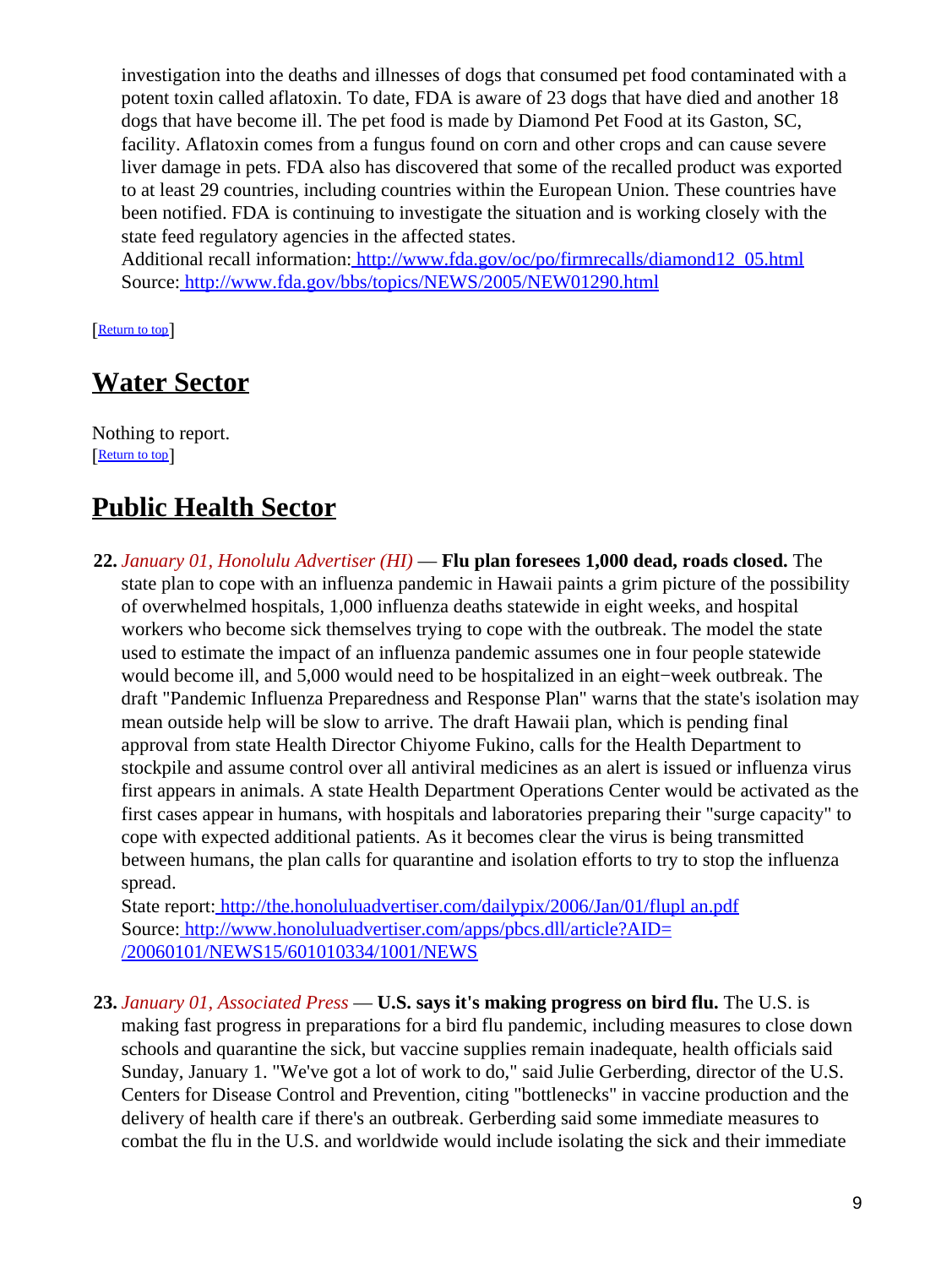investigation into the deaths and illnesses of dogs that consumed pet food contaminated with a potent toxin called aflatoxin. To date, FDA is aware of 23 dogs that have died and another 18 dogs that have become ill. The pet food is made by Diamond Pet Food at its Gaston, SC, facility. Aflatoxin comes from a fungus found on corn and other crops and can cause severe liver damage in pets. FDA also has discovered that some of the recalled product was exported to at least 29 countries, including countries within the European Union. These countries have been notified. FDA is continuing to investigate the situation and is working closely with the state feed regulatory agencies in the affected states.

Additional recall information: [http://www.fda.gov/oc/po/firmrecalls/diamond12\\_05.html](http://www.fda.gov/oc/po/firmrecalls/diamond12_05.html) Source[: http://www.fda.gov/bbs/topics/NEWS/2005/NEW01290.html](http://www.fda.gov/bbs/topics/NEWS/2005/NEW01290.html)

[[Return to top](#page-0-1)]

## <span id="page-8-1"></span>**Water Sector**

Nothing to report. [[Return to top](#page-0-1)]

## <span id="page-8-2"></span>**Public Health Sector**

**22.** *January 01, Honolulu Advertiser (HI)* — **Flu plan foresees 1,000 dead, roads closed.** The state plan to cope with an influenza pandemic in Hawaii paints a grim picture of the possibility of overwhelmed hospitals, 1,000 influenza deaths statewide in eight weeks, and hospital workers who become sick themselves trying to cope with the outbreak. The model the state used to estimate the impact of an influenza pandemic assumes one in four people statewide would become ill, and 5,000 would need to be hospitalized in an eight−week outbreak. The draft "Pandemic Influenza Preparedness and Response Plan" warns that the state's isolation may mean outside help will be slow to arrive. The draft Hawaii plan, which is pending final approval from state Health Director Chiyome Fukino, calls for the Health Department to stockpile and assume control over all antiviral medicines as an alert is issued or influenza virus first appears in animals. A state Health Department Operations Center would be activated as the first cases appear in humans, with hospitals and laboratories preparing their "surge capacity" to cope with expected additional patients. As it becomes clear the virus is being transmitted between humans, the plan calls for quarantine and isolation efforts to try to stop the influenza spread.

State report: [http://the.honoluluadvertiser.com/dailypix/2006/Jan/01/flupl an.pdf](http://the.honoluluadvertiser.com/dailypix/2006/Jan/01/fluplan.pdf) Source[: http://www.honoluluadvertiser.com/apps/pbcs.dll/article?AID=](http://www.honoluluadvertiser.com/apps/pbcs.dll/article?AID=/20060101/NEWS15/601010334/1001/NEWS) [/20060101/NEWS15/601010334/1001/NEWS](http://www.honoluluadvertiser.com/apps/pbcs.dll/article?AID=/20060101/NEWS15/601010334/1001/NEWS)

<span id="page-8-0"></span>**23.** *January 01, Associated Press* — **U.S. says it's making progress on bird flu.** The U.S. is making fast progress in preparations for a bird flu pandemic, including measures to close down schools and quarantine the sick, but vaccine supplies remain inadequate, health officials said Sunday, January 1. "We've got a lot of work to do," said Julie Gerberding, director of the U.S. Centers for Disease Control and Prevention, citing "bottlenecks" in vaccine production and the delivery of health care if there's an outbreak. Gerberding said some immediate measures to combat the flu in the U.S. and worldwide would include isolating the sick and their immediate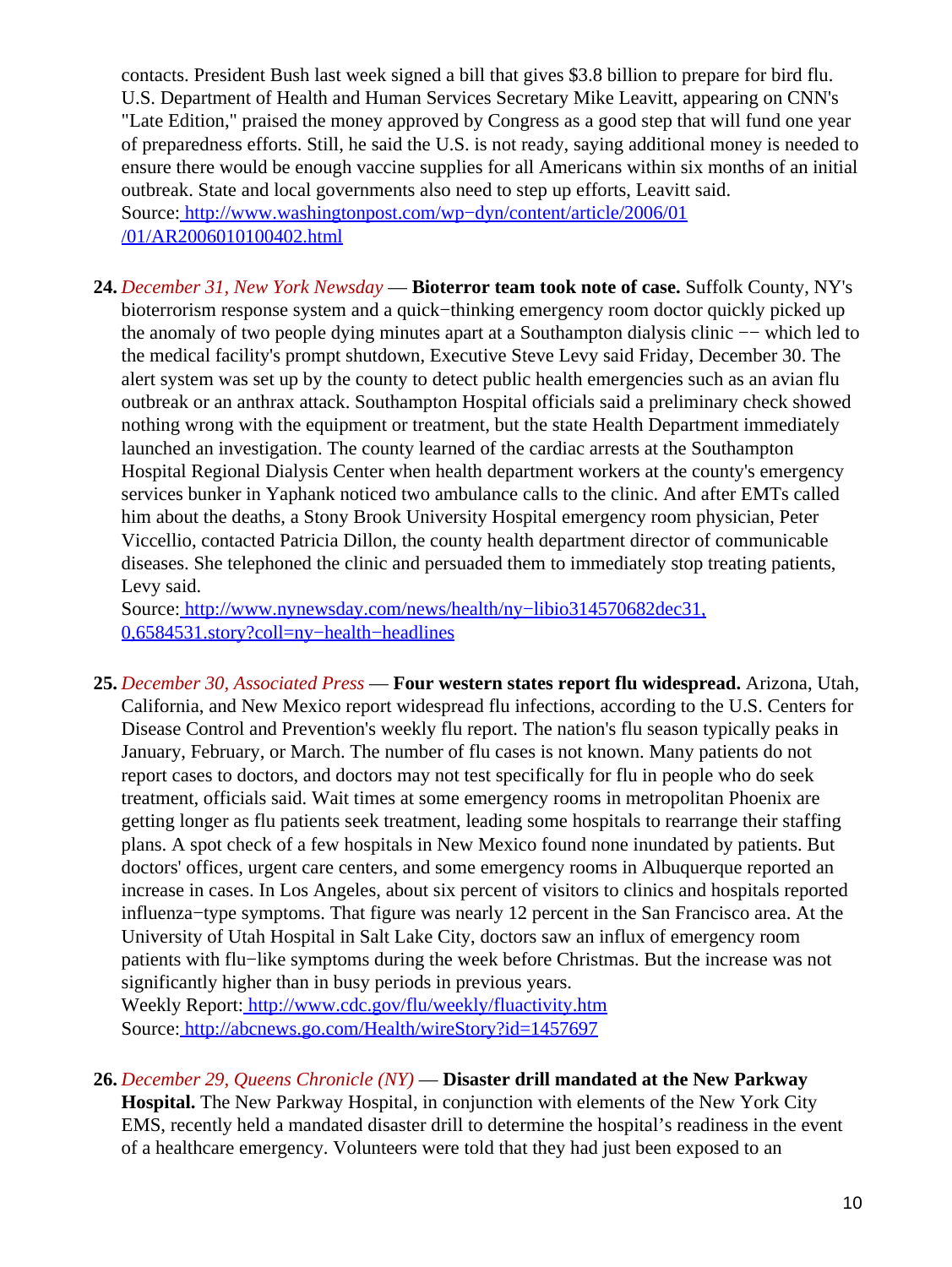contacts. President Bush last week signed a bill that gives \$3.8 billion to prepare for bird flu. U.S. Department of Health and Human Services Secretary Mike Leavitt, appearing on CNN's "Late Edition," praised the money approved by Congress as a good step that will fund one year of preparedness efforts. Still, he said the U.S. is not ready, saying additional money is needed to ensure there would be enough vaccine supplies for all Americans within six months of an initial outbreak. State and local governments also need to step up efforts, Leavitt said. Source[: http://www.washingtonpost.com/wp−dyn/content/article/2006/01](http://www.washingtonpost.com/wp-dyn/content/article/2006/01/01/AR2006010100402.html) [/01/AR2006010100402.html](http://www.washingtonpost.com/wp-dyn/content/article/2006/01/01/AR2006010100402.html)

**24.** *December 31, New York Newsday* — **Bioterror team took note of case.** Suffolk County, NY's bioterrorism response system and a quick−thinking emergency room doctor quickly picked up the anomaly of two people dying minutes apart at a Southampton dialysis clinic −− which led to the medical facility's prompt shutdown, Executive Steve Levy said Friday, December 30. The alert system was set up by the county to detect public health emergencies such as an avian flu outbreak or an anthrax attack. Southampton Hospital officials said a preliminary check showed nothing wrong with the equipment or treatment, but the state Health Department immediately launched an investigation. The county learned of the cardiac arrests at the Southampton Hospital Regional Dialysis Center when health department workers at the county's emergency services bunker in Yaphank noticed two ambulance calls to the clinic. And after EMTs called him about the deaths, a Stony Brook University Hospital emergency room physician, Peter Viccellio, contacted Patricia Dillon, the county health department director of communicable diseases. She telephoned the clinic and persuaded them to immediately stop treating patients, Levy said.

Source[: http://www.nynewsday.com/news/health/ny−libio314570682dec31,](http://www.nynewsday.com/news/health/ny-libio314570682dec31,0,6584531.story?coll=ny-health-headlines) [0,6584531.story?coll=ny−health−headlines](http://www.nynewsday.com/news/health/ny-libio314570682dec31,0,6584531.story?coll=ny-health-headlines)

**25.** *December 30, Associated Press* — **Four western states report flu widespread.** Arizona, Utah, California, and New Mexico report widespread flu infections, according to the U.S. Centers for Disease Control and Prevention's weekly flu report. The nation's flu season typically peaks in January, February, or March. The number of flu cases is not known. Many patients do not report cases to doctors, and doctors may not test specifically for flu in people who do seek treatment, officials said. Wait times at some emergency rooms in metropolitan Phoenix are getting longer as flu patients seek treatment, leading some hospitals to rearrange their staffing plans. A spot check of a few hospitals in New Mexico found none inundated by patients. But doctors' offices, urgent care centers, and some emergency rooms in Albuquerque reported an increase in cases. In Los Angeles, about six percent of visitors to clinics and hospitals reported influenza−type symptoms. That figure was nearly 12 percent in the San Francisco area. At the University of Utah Hospital in Salt Lake City, doctors saw an influx of emergency room patients with flu−like symptoms during the week before Christmas. But the increase was not significantly higher than in busy periods in previous years.

Weekly Report[: http://www.cdc.gov/flu/weekly/fluactivity.htm](http://www.cdc.gov/flu/weekly/fluactivity.htm) Source[: http://abcnews.go.com/Health/wireStory?id=1457697](http://abcnews.go.com/Health/wireStory?id=1457697)

**26.** *December 29, Queens Chronicle (NY)* — **Disaster drill mandated at the New Parkway Hospital.** The New Parkway Hospital, in conjunction with elements of the New York City EMS, recently held a mandated disaster drill to determine the hospital's readiness in the event of a healthcare emergency. Volunteers were told that they had just been exposed to an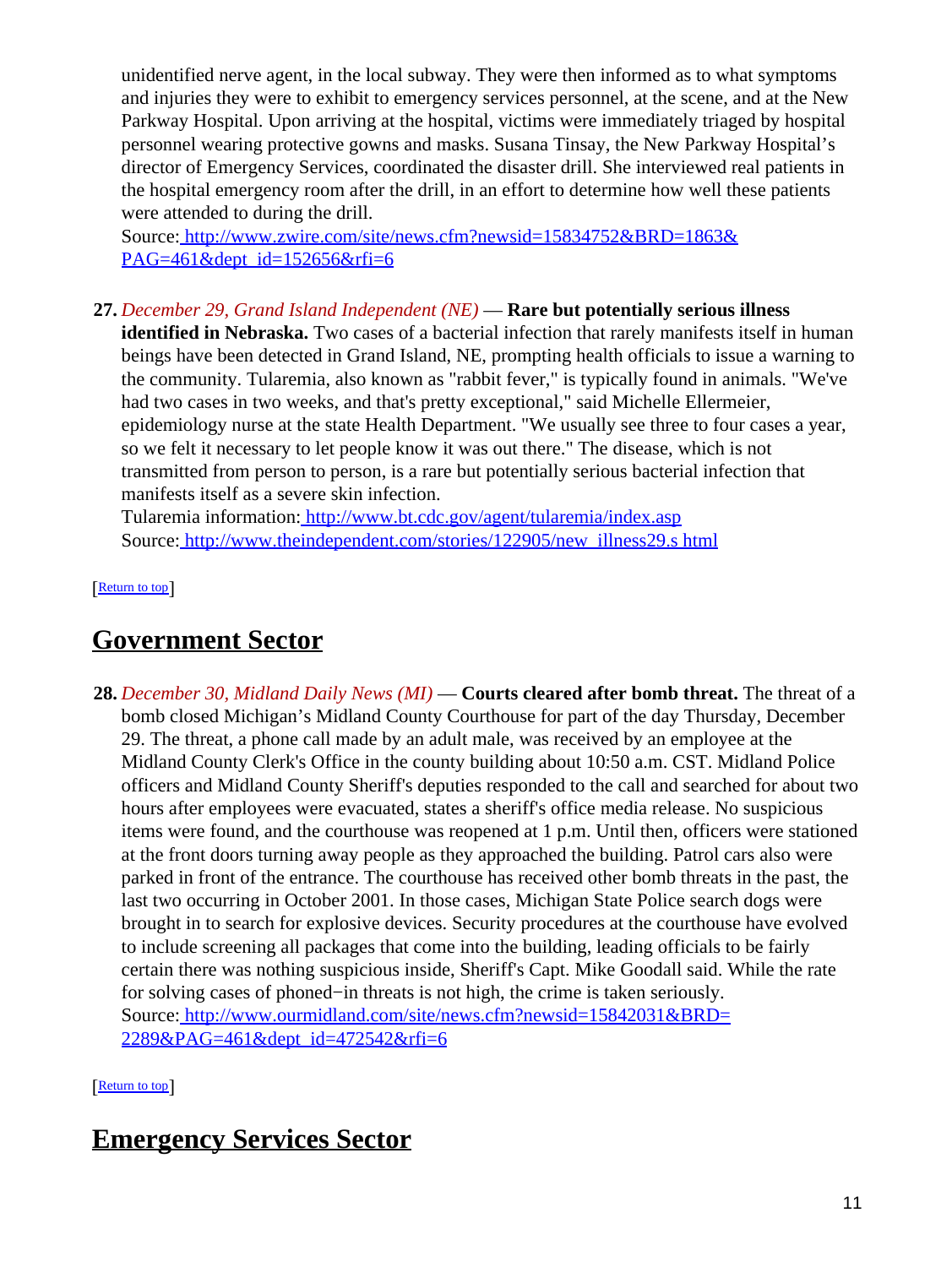unidentified nerve agent, in the local subway. They were then informed as to what symptoms and injuries they were to exhibit to emergency services personnel, at the scene, and at the New Parkway Hospital. Upon arriving at the hospital, victims were immediately triaged by hospital personnel wearing protective gowns and masks. Susana Tinsay, the New Parkway Hospital's director of Emergency Services, coordinated the disaster drill. She interviewed real patients in the hospital emergency room after the drill, in an effort to determine how well these patients were attended to during the drill.

Source[: http://www.zwire.com/site/news.cfm?newsid=15834752&BRD=1863&](http://www.zwire.com/site/news.cfm?newsid=15834752&BRD=1863&PAG=461&dept_id=152656&rfi=6) [PAG=461&dept\\_id=152656&rfi=6](http://www.zwire.com/site/news.cfm?newsid=15834752&BRD=1863&PAG=461&dept_id=152656&rfi=6)

**27.** *December 29, Grand Island Independent (NE)* — **Rare but potentially serious illness**

**identified in Nebraska.** Two cases of a bacterial infection that rarely manifests itself in human beings have been detected in Grand Island, NE, prompting health officials to issue a warning to the community. Tularemia, also known as "rabbit fever," is typically found in animals. "We've had two cases in two weeks, and that's pretty exceptional," said Michelle Ellermeier, epidemiology nurse at the state Health Department. "We usually see three to four cases a year, so we felt it necessary to let people know it was out there." The disease, which is not transmitted from person to person, is a rare but potentially serious bacterial infection that manifests itself as a severe skin infection.

Tularemia information[: http://www.bt.cdc.gov/agent/tularemia/index.asp](http://www.bt.cdc.gov/agent/tularemia/index.asp) Source[: http://www.theindependent.com/stories/122905/new\\_illness29.s html](http://www.theindependent.com/stories/122905/new_illness29.shtml)

[[Return to top](#page-0-1)]

## <span id="page-10-0"></span>**Government Sector**

**28.** *December 30, Midland Daily News (MI)* — **Courts cleared after bomb threat.** The threat of a bomb closed Michigan's Midland County Courthouse for part of the day Thursday, December 29. The threat, a phone call made by an adult male, was received by an employee at the Midland County Clerk's Office in the county building about 10:50 a.m. CST. Midland Police officers and Midland County Sheriff's deputies responded to the call and searched for about two hours after employees were evacuated, states a sheriff's office media release. No suspicious items were found, and the courthouse was reopened at 1 p.m. Until then, officers were stationed at the front doors turning away people as they approached the building. Patrol cars also were parked in front of the entrance. The courthouse has received other bomb threats in the past, the last two occurring in October 2001. In those cases, Michigan State Police search dogs were brought in to search for explosive devices. Security procedures at the courthouse have evolved to include screening all packages that come into the building, leading officials to be fairly certain there was nothing suspicious inside, Sheriff's Capt. Mike Goodall said. While the rate for solving cases of phoned−in threats is not high, the crime is taken seriously. Source[: http://www.ourmidland.com/site/news.cfm?newsid=15842031&BRD=](http://www.ourmidland.com/site/news.cfm?newsid=15842031&BRD=2289&PAG=461&dept_id=472542&rfi=6) [2289&PAG=461&dept\\_id=472542&rfi=6](http://www.ourmidland.com/site/news.cfm?newsid=15842031&BRD=2289&PAG=461&dept_id=472542&rfi=6)

[[Return to top](#page-0-1)]

# <span id="page-10-1"></span>**Emergency Services Sector**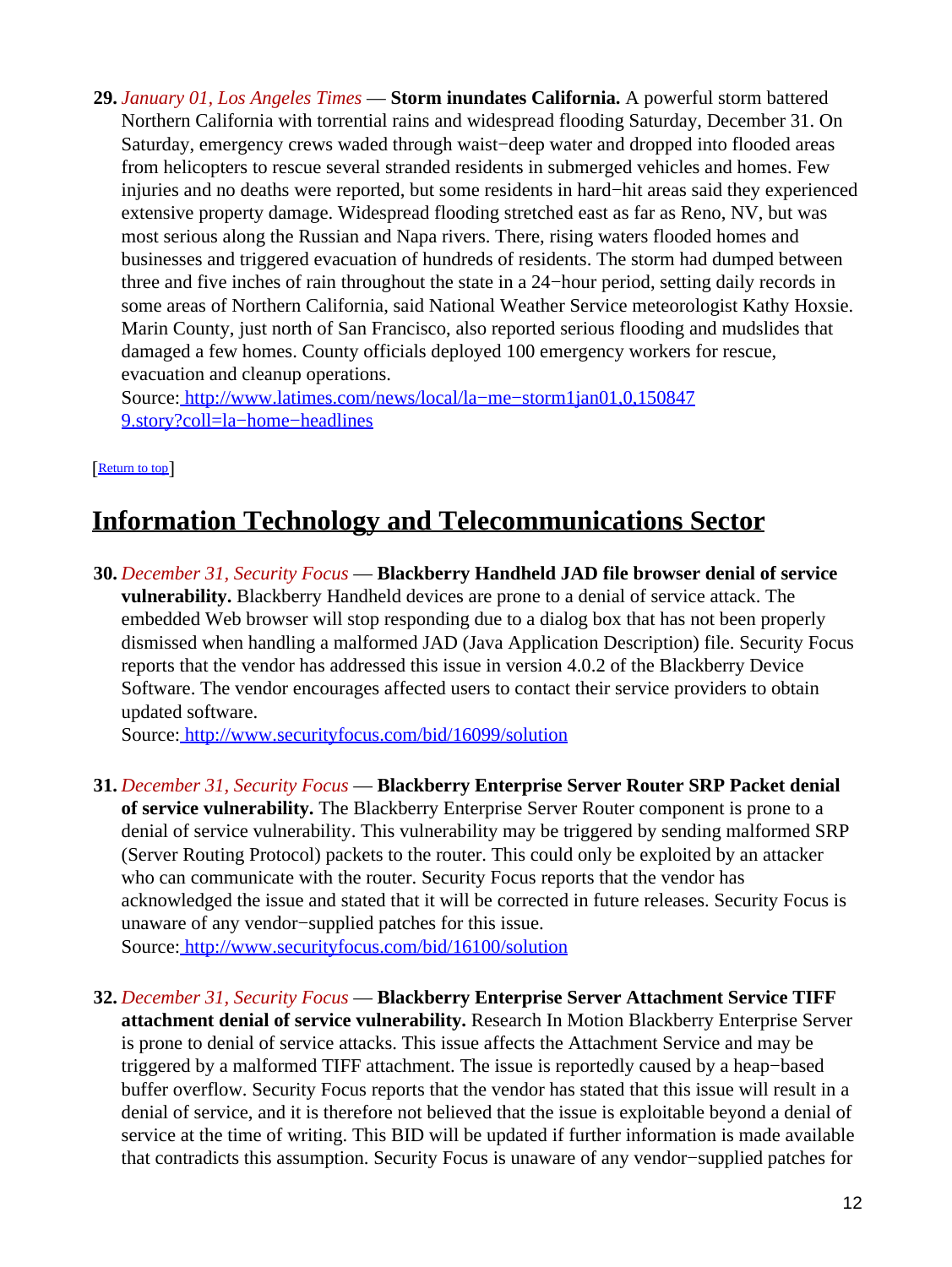**29.** *January 01, Los Angeles Times* — **Storm inundates California.** A powerful storm battered Northern California with torrential rains and widespread flooding Saturday, December 31. On Saturday, emergency crews waded through waist−deep water and dropped into flooded areas from helicopters to rescue several stranded residents in submerged vehicles and homes. Few injuries and no deaths were reported, but some residents in hard−hit areas said they experienced extensive property damage. Widespread flooding stretched east as far as Reno, NV, but was most serious along the Russian and Napa rivers. There, rising waters flooded homes and businesses and triggered evacuation of hundreds of residents. The storm had dumped between three and five inches of rain throughout the state in a 24−hour period, setting daily records in some areas of Northern California, said National Weather Service meteorologist Kathy Hoxsie. Marin County, just north of San Francisco, also reported serious flooding and mudslides that damaged a few homes. County officials deployed 100 emergency workers for rescue, evacuation and cleanup operations.

Source[: http://www.latimes.com/news/local/la−me−storm1jan01,0,150847](http://www.latimes.com/news/local/la-me-storm1jan01,0,1508479.story?coll=la-home-headlines) [9.story?coll=la−home−headlines](http://www.latimes.com/news/local/la-me-storm1jan01,0,1508479.story?coll=la-home-headlines)

#### [[Return to top](#page-0-1)]

# <span id="page-11-0"></span>**Information Technology and Telecommunications Sector**

**30.** *December 31, Security Focus* — **Blackberry Handheld JAD file browser denial of service vulnerability.** Blackberry Handheld devices are prone to a denial of service attack. The embedded Web browser will stop responding due to a dialog box that has not been properly dismissed when handling a malformed JAD (Java Application Description) file. Security Focus reports that the vendor has addressed this issue in version 4.0.2 of the Blackberry Device Software. The vendor encourages affected users to contact their service providers to obtain updated software.

Source[: http://www.securityfocus.com/bid/16099/solution](http://www.securityfocus.com/bid/16099/solution)

- **31.** *December 31, Security Focus* — **Blackberry Enterprise Server Router SRP Packet denial of service vulnerability.** The Blackberry Enterprise Server Router component is prone to a denial of service vulnerability. This vulnerability may be triggered by sending malformed SRP (Server Routing Protocol) packets to the router. This could only be exploited by an attacker who can communicate with the router. Security Focus reports that the vendor has acknowledged the issue and stated that it will be corrected in future releases. Security Focus is unaware of any vendor−supplied patches for this issue. Source[: http://www.securityfocus.com/bid/16100/solution](http://www.securityfocus.com/bid/16100/solution)
- **32.** *December 31, Security Focus* — **Blackberry Enterprise Server Attachment Service TIFF attachment denial of service vulnerability.** Research In Motion Blackberry Enterprise Server is prone to denial of service attacks. This issue affects the Attachment Service and may be triggered by a malformed TIFF attachment. The issue is reportedly caused by a heap−based buffer overflow. Security Focus reports that the vendor has stated that this issue will result in a denial of service, and it is therefore not believed that the issue is exploitable beyond a denial of service at the time of writing. This BID will be updated if further information is made available that contradicts this assumption. Security Focus is unaware of any vendor−supplied patches for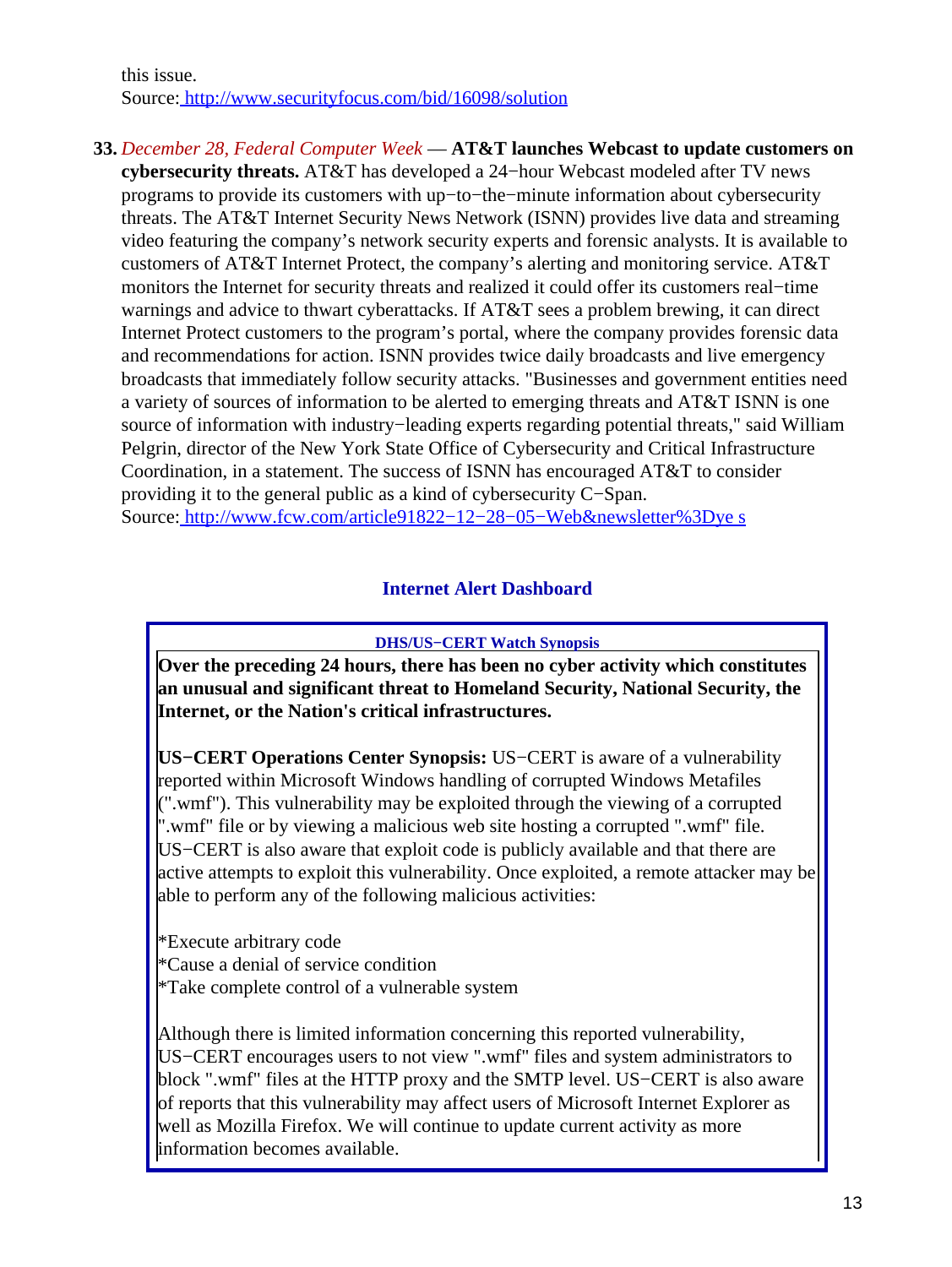this issue. Source[: http://www.securityfocus.com/bid/16098/solution](http://www.securityfocus.com/bid/16098/solution)

#### **33.** *December 28, Federal Computer Week* — **AT&T launches Webcast to update customers on**

**cybersecurity threats.** AT&T has developed a 24−hour Webcast modeled after TV news programs to provide its customers with up−to−the−minute information about cybersecurity threats. The AT&T Internet Security News Network (ISNN) provides live data and streaming video featuring the company's network security experts and forensic analysts. It is available to customers of AT&T Internet Protect, the company's alerting and monitoring service. AT&T monitors the Internet for security threats and realized it could offer its customers real−time warnings and advice to thwart cyberattacks. If AT&T sees a problem brewing, it can direct Internet Protect customers to the program's portal, where the company provides forensic data and recommendations for action. ISNN provides twice daily broadcasts and live emergency broadcasts that immediately follow security attacks. "Businesses and government entities need a variety of sources of information to be alerted to emerging threats and AT&T ISNN is one source of information with industry−leading experts regarding potential threats," said William Pelgrin, director of the New York State Office of Cybersecurity and Critical Infrastructure Coordination, in a statement. The success of ISNN has encouraged AT&T to consider providing it to the general public as a kind of cybersecurity C−Span. Source[: http://www.fcw.com/article91822−12−28−05−Web&newsletter%3Dye s](http://www.fcw.com/article91822-12-28-05-Web&newsletter%3Dyes)

### **Internet Alert Dashboard**

#### **DHS/US−CERT Watch Synopsis**

<span id="page-12-0"></span>**Over the preceding 24 hours, there has been no cyber activity which constitutes an unusual and significant threat to Homeland Security, National Security, the Internet, or the Nation's critical infrastructures.**

**US−CERT Operations Center Synopsis:** US−CERT is aware of a vulnerability reported within Microsoft Windows handling of corrupted Windows Metafiles (".wmf"). This vulnerability may be exploited through the viewing of a corrupted ".wmf" file or by viewing a malicious web site hosting a corrupted ".wmf" file. US−CERT is also aware that exploit code is publicly available and that there are active attempts to exploit this vulnerability. Once exploited, a remote attacker may be able to perform any of the following malicious activities:

\*Execute arbitrary code \*Cause a denial of service condition \*Take complete control of a vulnerable system

Although there is limited information concerning this reported vulnerability, US−CERT encourages users to not view ".wmf" files and system administrators to block ".wmf" files at the HTTP proxy and the SMTP level. US−CERT is also aware of reports that this vulnerability may affect users of Microsoft Internet Explorer as well as Mozilla Firefox. We will continue to update current activity as more information becomes available.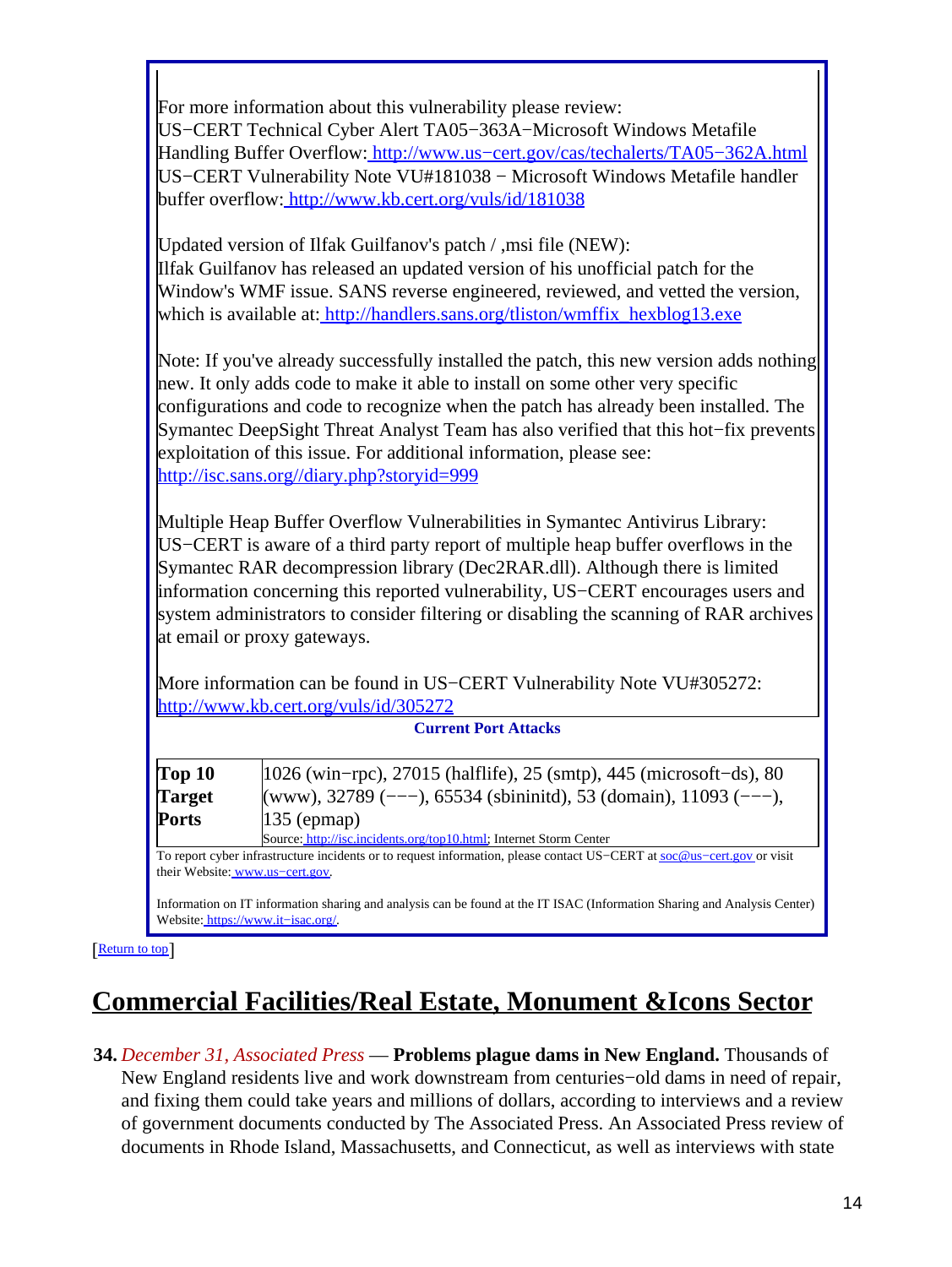For more information about this vulnerability please review: US−CERT Technical Cyber Alert TA05−363A−Microsoft Windows Metafile Handling Buffer Overflow: [http://www.us−cert.gov/cas/techalerts/TA05−362A.html](http://www.us-cert.gov/cas/techalerts/TA05-362A.html) US−CERT Vulnerability Note VU#181038 − Microsoft Windows Metafile handler buffer overflow:<http://www.kb.cert.org/vuls/id/181038>

Updated version of Ilfak Guilfanov's patch / ,msi file (NEW): Ilfak Guilfanov has released an updated version of his unofficial patch for the Window's WMF issue. SANS reverse engineered, reviewed, and vetted the version, which is available at[: http://handlers.sans.org/tliston/wmffix\\_hexblog13.exe](http://handlers.sans.org/tliston/wmffix_hexblog13.exe)

Note: If you've already successfully installed the patch, this new version adds nothing new. It only adds code to make it able to install on some other very specific configurations and code to recognize when the patch has already been installed. The Symantec DeepSight Threat Analyst Team has also verified that this hot−fix prevents exploitation of this issue. For additional information, please see: <http://isc.sans.org//diary.php?storyid=999>

Multiple Heap Buffer Overflow Vulnerabilities in Symantec Antivirus Library: US−CERT is aware of a third party report of multiple heap buffer overflows in the Symantec RAR decompression library (Dec2RAR.dll). Although there is limited information concerning this reported vulnerability, US−CERT encourages users and system administrators to consider filtering or disabling the scanning of RAR archives at email or proxy gateways.

More information can be found in US–CERT Vulnerability Note VU#305272: <http://www.kb.cert.org/vuls/id/305272>

| <b>Current Port Attacks</b> |                                                                                                                        |  |
|-----------------------------|------------------------------------------------------------------------------------------------------------------------|--|
| $\sqrt{Top 10}$             | $ 1026 \text{ (win-rpc)}, 27015 \text{ (halflife)}, 25 \text{ (smp)}, 445 \text{ (microsoft-ds)}, 80 \text{)} $        |  |
| <b>Target</b>               | (www), 32789 (---), 65534 (sbininitd), 53 (domain), 11093 (---),                                                       |  |
| <b>Ports</b>                | $135$ (epmap)                                                                                                          |  |
|                             | Source: http://isc.incidents.org/top10.html; Internet Storm Center                                                     |  |
|                             | To report cyber infrastructure incidents or to request information, please contact US-CERT at soc@us-cert.gov or visit |  |

their Website: [www.us−cert.gov.](http://www.us-cert.gov/)

Information on IT information sharing and analysis can be found at the IT ISAC (Information Sharing and Analysis Center) Website: [https://www.it−isac.org/.](https://www.it-isac.org/)

[[Return to top](#page-0-1)]

# <span id="page-13-0"></span>**Commercial Facilities/Real Estate, Monument &Icons Sector**

**34.** *December 31, Associated Press* — **Problems plague dams in New England.** Thousands of New England residents live and work downstream from centuries−old dams in need of repair, and fixing them could take years and millions of dollars, according to interviews and a review of government documents conducted by The Associated Press. An Associated Press review of documents in Rhode Island, Massachusetts, and Connecticut, as well as interviews with state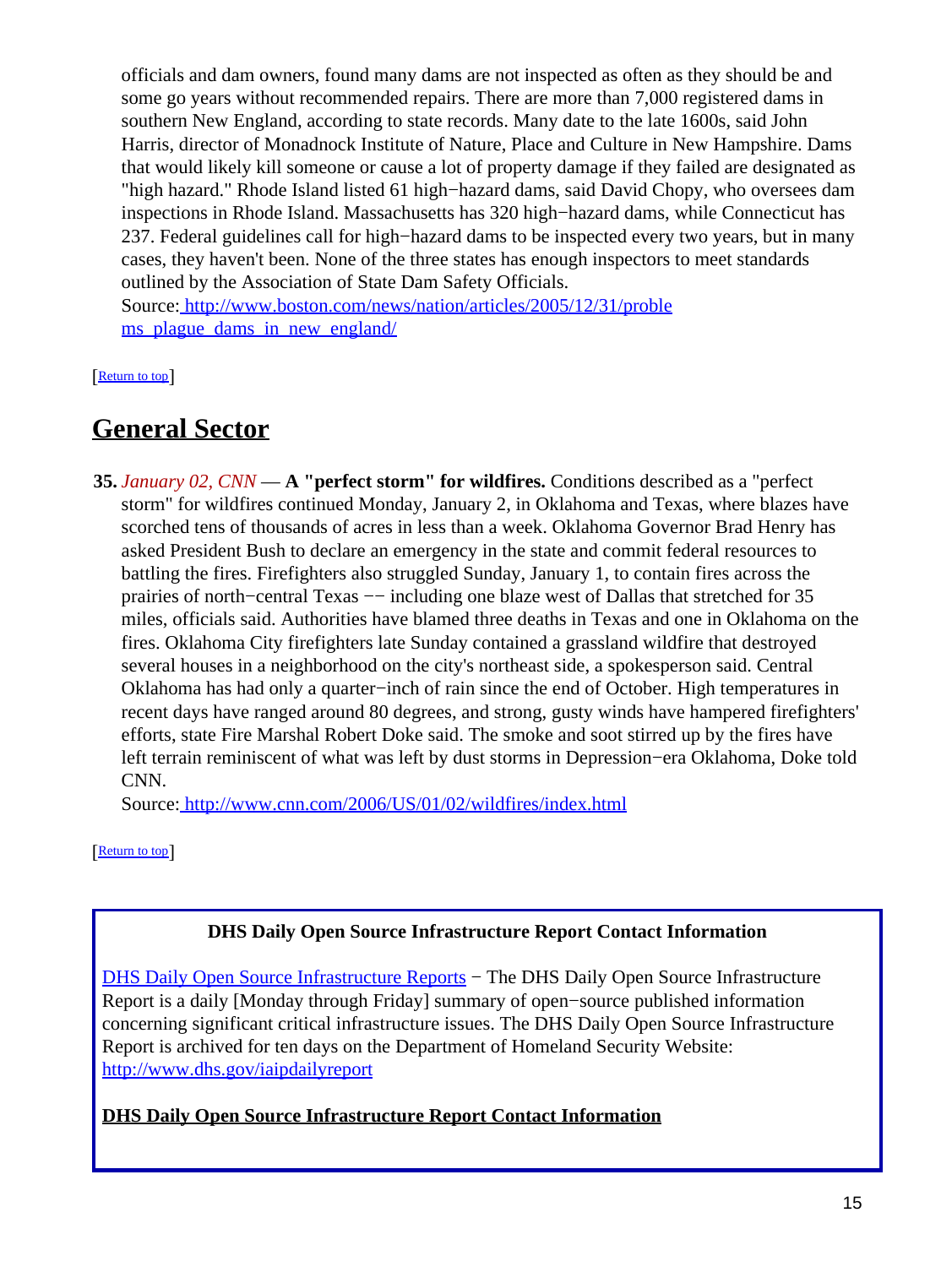officials and dam owners, found many dams are not inspected as often as they should be and some go years without recommended repairs. There are more than 7,000 registered dams in southern New England, according to state records. Many date to the late 1600s, said John Harris, director of Monadnock Institute of Nature, Place and Culture in New Hampshire. Dams that would likely kill someone or cause a lot of property damage if they failed are designated as "high hazard." Rhode Island listed 61 high−hazard dams, said David Chopy, who oversees dam inspections in Rhode Island. Massachusetts has 320 high−hazard dams, while Connecticut has 237. Federal guidelines call for high−hazard dams to be inspected every two years, but in many cases, they haven't been. None of the three states has enough inspectors to meet standards outlined by the Association of State Dam Safety Officials.

Source[: http://www.boston.com/news/nation/articles/2005/12/31/proble](http://www.boston.com/news/nation/articles/2005/12/31/problems_plague_dams_in_new_england/) [ms\\_plague\\_dams\\_in\\_new\\_england/](http://www.boston.com/news/nation/articles/2005/12/31/problems_plague_dams_in_new_england/)

[[Return to top](#page-0-1)]

# <span id="page-14-0"></span>**General Sector**

**35.** *January 02, CNN* — **A "perfect storm" for wildfires.** Conditions described as a "perfect storm" for wildfires continued Monday, January 2, in Oklahoma and Texas, where blazes have scorched tens of thousands of acres in less than a week. Oklahoma Governor Brad Henry has asked President Bush to declare an emergency in the state and commit federal resources to battling the fires. Firefighters also struggled Sunday, January 1, to contain fires across the prairies of north–central Texas — including one blaze west of Dallas that stretched for 35 miles, officials said. Authorities have blamed three deaths in Texas and one in Oklahoma on the fires. Oklahoma City firefighters late Sunday contained a grassland wildfire that destroyed several houses in a neighborhood on the city's northeast side, a spokesperson said. Central Oklahoma has had only a quarter−inch of rain since the end of October. High temperatures in recent days have ranged around 80 degrees, and strong, gusty winds have hampered firefighters' efforts, state Fire Marshal Robert Doke said. The smoke and soot stirred up by the fires have left terrain reminiscent of what was left by dust storms in Depression−era Oklahoma, Doke told CNN.

Source[: http://www.cnn.com/2006/US/01/02/wildfires/index.html](http://www.cnn.com/2006/US/01/02/wildfires/index.html)

[[Return to top](#page-0-1)]

## **DHS Daily Open Source Infrastructure Report Contact Information**

<span id="page-14-1"></span>[DHS Daily Open Source Infrastructure Reports](http://www.dhs.gov/iaipdailyreport) – The DHS Daily Open Source Infrastructure Report is a daily [Monday through Friday] summary of open−source published information concerning significant critical infrastructure issues. The DHS Daily Open Source Infrastructure Report is archived for ten days on the Department of Homeland Security Website: <http://www.dhs.gov/iaipdailyreport>

### **DHS Daily Open Source Infrastructure Report Contact Information**